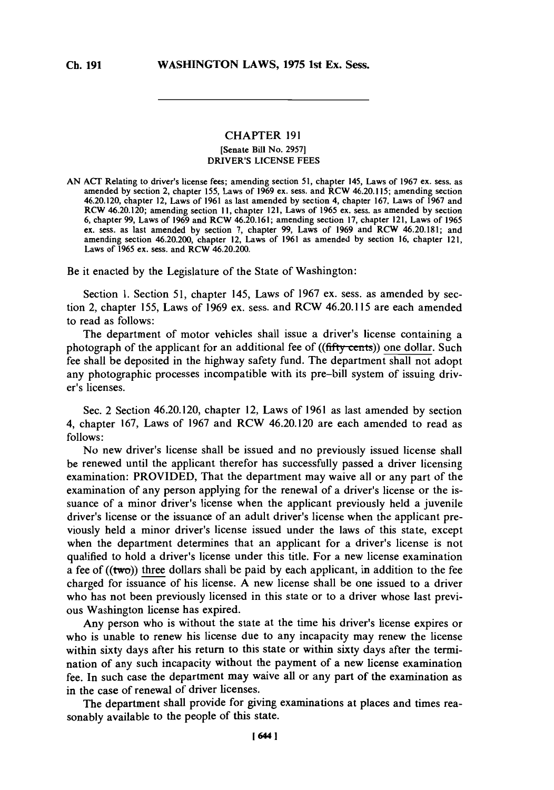## **CHAPTER 191** [Senate Bill No. **2957]** DRIVER'S **LICENSE FEES**

**AN ACT** Relating to driver's license fees; amending section **51,** chapter 145, Laws of **1967** ex. sess. as amended **by** section 2, chapter **155,** Laws of **1969** ex. sess. and RCW 46.20.115; amending section 46.20.120, chapter 12, Laws of **1961** as last amended **by** section 4, chapter **167,** Laws of **1967** and RCW 46.20.120; amending section **11,** chapter 121, Laws of **1965** ex. sess. as amended **by** section **6,** chapter **99,** Laws of **1969** and RCW 46.20.16 **1;** amending section **17,** chapter 12 **1,** Laws of **1965** ex. sess. as last amended **by** section **7,** chapter **99,** Laws of **1969** and RCW 46.20.181; and amending section 46.20.200, chapter 12, Laws of **1961** as amended **by** section **16,** chapter 121, Laws of **1965** ex. sess. and RCW 46.20.200.

Be it enacted **by** the Legislature of the State of Washington:

Section **1.** Section **51,** chapter 145, Laws of **1967** ex. sess. as amended **by** section 2, chapter **155,** Laws of **1969** ex. sess. and RCW 46.20.115 are each amended to read as follows:

The department of motor vehicles shall issue a driver's license containing a photograph of the applicant for an additional fee of ((fifty-cents)) one dollar. Such fee shall be deposited in the highway safety fund. The department shall not adopt any photographic processes incompatible with its pre-bill system of issuing driver's licenses.

Sec. 2 Section 46.20.120, chapter 12, Laws of **1961** as last amended **by** section 4, chapter **167,** Laws of **1967** and RCW 46.20.120 are each amended to read as **follows:**

No new driver's license shall be issued and no previously issued license shall be renewed until the applicant therefor has successfully passed a driver licensing examination: PROVIDED, That the department may waive all or any part of the examination of any person applying for the renewal of a driver's license or the issuance of a minor driver's license when the applicant previously held a juvenile driver's license or the issuance of an adult driver's license when the applicant previously held a minor driver's license issued under the laws of this state, except when the department determines that an applicant for a driver's license is not qualified to hold a driver's license under this title. For a new license examination a fee of ((two)) three dollars shall be paid **by** each applicant, in addition to the fee charged for issuance of his license. **A** new license shall be one issued to a driver who has not been previously licensed in this state or to a driver whose last previous Washington license has expired.

Any person who is without the state at the time his driver's license expires or who is unable to renew his license due to any incapacity may renew the license within sixty days after his return to this state or within sixty days after the termination of any such incapacity without the payment of a new license examination fee. In such case the department may waive all or any part of the examination as in the case of renewal of driver licenses.

The department shall provide for giving examinations at places and times reasonably available to the people of this state.